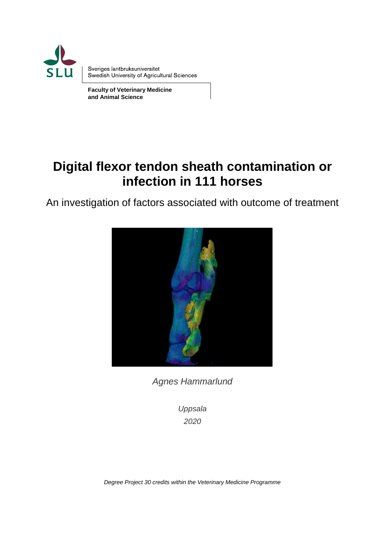

**Faculty of Veterinary Medicine and Animal Science**

# **Digital flexor tendon sheath contamination or infection in 111 horses**

An investigation of factors associated with outcome of treatment



*Agnes Hammarlund*

*Uppsala 2020*

*Degree Project 30 credits within the Veterinary Medicine Programme*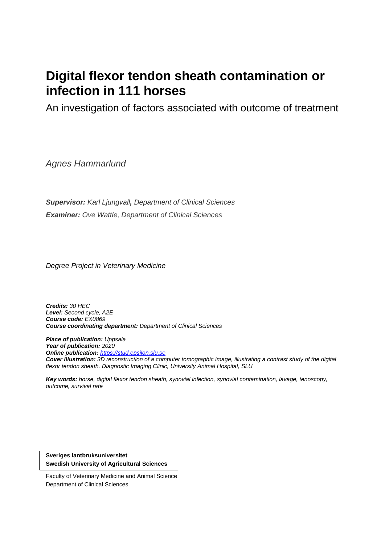# **Digital flexor tendon sheath contamination or infection in 111 horses**

An investigation of factors associated with outcome of treatment

*Agnes Hammarlund*

*Supervisor: Karl Ljungvall, Department of Clinical Sciences Examiner: Ove Wattle, Department of Clinical Sciences*

*Degree Project in Veterinary Medicine*

*Credits: 30 HEC Level: Second cycle, A2E Course code: EX0869 Course coordinating department: Department of Clinical Sciences*

*Place of publication: Uppsala Year of publication: 2020 Online publication: [https://stud.epsilon.slu.se](https://stud.epsilon.slu.se/) Cover illustration: 3D reconstruction of a computer tomographic image, illustrating a contrast study of the digital flexor tendon sheath. Diagnostic Imaging Clinic, University Animal Hospital, SLU*

*Key words: horse, digital flexor tendon sheath, synovial infection, synovial contamination, lavage, tenoscopy, outcome, survival rate*

**Sveriges lantbruksuniversitet Swedish University of Agricultural Sciences**

Faculty of Veterinary Medicine and Animal Science Department of Clinical Sciences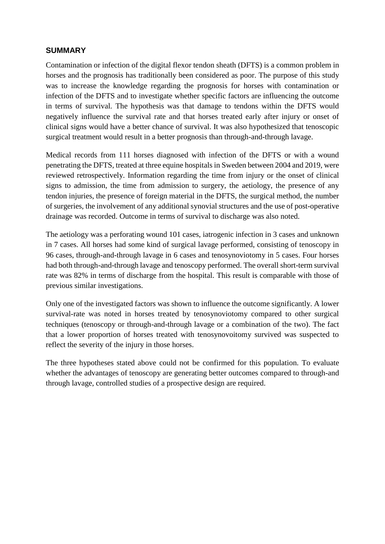#### **SUMMARY**

Contamination or infection of the digital flexor tendon sheath (DFTS) is a common problem in horses and the prognosis has traditionally been considered as poor. The purpose of this study was to increase the knowledge regarding the prognosis for horses with contamination or infection of the DFTS and to investigate whether specific factors are influencing the outcome in terms of survival. The hypothesis was that damage to tendons within the DFTS would negatively influence the survival rate and that horses treated early after injury or onset of clinical signs would have a better chance of survival. It was also hypothesized that tenoscopic surgical treatment would result in a better prognosis than through-and-through lavage.

Medical records from 111 horses diagnosed with infection of the DFTS or with a wound penetrating the DFTS, treated at three equine hospitals in Sweden between 2004 and 2019, were reviewed retrospectively. Information regarding the time from injury or the onset of clinical signs to admission, the time from admission to surgery, the aetiology, the presence of any tendon injuries, the presence of foreign material in the DFTS, the surgical method, the number of surgeries, the involvement of any additional synovial structures and the use of post-operative drainage was recorded. Outcome in terms of survival to discharge was also noted.

The aetiology was a perforating wound 101 cases, iatrogenic infection in 3 cases and unknown in 7 cases. All horses had some kind of surgical lavage performed, consisting of tenoscopy in 96 cases, through-and-through lavage in 6 cases and tenosynoviotomy in 5 cases. Four horses had both through-and-through lavage and tenoscopy performed. The overall short-term survival rate was 82% in terms of discharge from the hospital. This result is comparable with those of previous similar investigations.

Only one of the investigated factors was shown to influence the outcome significantly. A lower survival-rate was noted in horses treated by tenosynoviotomy compared to other surgical techniques (tenoscopy or through-and-through lavage or a combination of the two). The fact that a lower proportion of horses treated with tenosynovoitomy survived was suspected to reflect the severity of the injury in those horses.

The three hypotheses stated above could not be confirmed for this population. To evaluate whether the advantages of tenoscopy are generating better outcomes compared to through-and through lavage, controlled studies of a prospective design are required.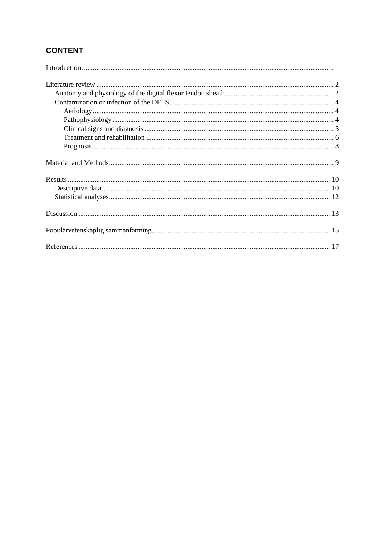# **CONTENT**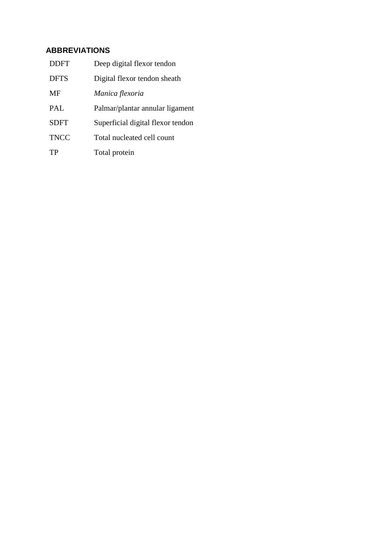# **ABBREVIATIONS**

| <b>DDFT</b> | Deep digital flexor tendon        |
|-------------|-----------------------------------|
| <b>DFTS</b> | Digital flexor tendon sheath      |
| MF          | Manica flexoria                   |
| PAL         | Palmar/plantar annular ligament   |
| <b>SDFT</b> | Superficial digital flexor tendon |
| <b>TNCC</b> | Total nucleated cell count        |
| TР          | Total protein                     |
|             |                                   |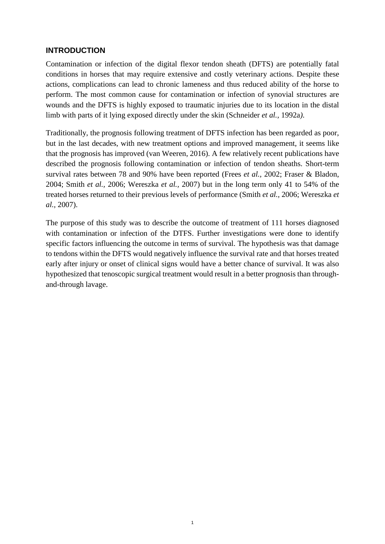#### <span id="page-8-0"></span>**INTRODUCTION**

Contamination or infection of the digital flexor tendon sheath (DFTS) are potentially fatal conditions in horses that may require extensive and costly veterinary actions. Despite these actions, complications can lead to chronic lameness and thus reduced ability of the horse to perform. The most common cause for contamination or infection of synovial structures are wounds and the DFTS is highly exposed to traumatic injuries due to its location in the distal limb with parts of it lying exposed directly under the skin (Schneider *et al.,* 1992a*)*.

Traditionally, the prognosis following treatment of DFTS infection has been regarded as poor, but in the last decades, with new treatment options and improved management, it seems like that the prognosis has improved (van Weeren, 2016). A few relatively recent publications have described the prognosis following contamination or infection of tendon sheaths. Short-term survival rates between 78 and 90% have been reported (Frees *et al.,* 2002; Fraser & Bladon, 2004; Smith *et al.,* 2006; Wereszka *et al.,* 2007) but in the long term only 41 to 54% of the treated horses returned to their previous levels of performance (Smith *et al.,* 2006; Wereszka *et al.,* 2007).

The purpose of this study was to describe the outcome of treatment of 111 horses diagnosed with contamination or infection of the DTFS. Further investigations were done to identify specific factors influencing the outcome in terms of survival. The hypothesis was that damage to tendons within the DFTS would negatively influence the survival rate and that horses treated early after injury or onset of clinical signs would have a better chance of survival. It was also hypothesized that tenoscopic surgical treatment would result in a better prognosis than throughand-through lavage.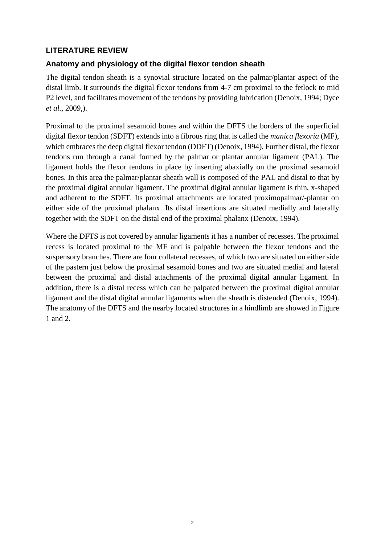# <span id="page-9-0"></span>**LITERATURE REVIEW**

# <span id="page-9-1"></span>**Anatomy and physiology of the digital flexor tendon sheath**

The digital tendon sheath is a synovial structure located on the palmar/plantar aspect of the distal limb. It surrounds the digital flexor tendons from 4-7 cm proximal to the fetlock to mid P2 level, and facilitates movement of the tendons by providing lubrication (Denoix, 1994; Dyce *et al.,* 2009,).

Proximal to the proximal sesamoid bones and within the DFTS the borders of the superficial digital flexor tendon (SDFT) extends into a fibrous ring that is called the *manica flexoria* (MF), which embraces the deep digital flexor tendon (DDFT) (Denoix, 1994). Further distal, the flexor tendons run through a canal formed by the palmar or plantar annular ligament (PAL). The ligament holds the flexor tendons in place by inserting abaxially on the proximal sesamoid bones. In this area the palmar/plantar sheath wall is composed of the PAL and distal to that by the proximal digital annular ligament. The proximal digital annular ligament is thin, x-shaped and adherent to the SDFT. Its proximal attachments are located proximopalmar/-plantar on either side of the proximal phalanx. Its distal insertions are situated medially and laterally together with the SDFT on the distal end of the proximal phalanx (Denoix, 1994).

Where the DFTS is not covered by annular ligaments it has a number of recesses. The proximal recess is located proximal to the MF and is palpable between the flexor tendons and the suspensory branches. There are four collateral recesses, of which two are situated on either side of the pastern just below the proximal sesamoid bones and two are situated medial and lateral between the proximal and distal attachments of the proximal digital annular ligament. In addition, there is a distal recess which can be palpated between the proximal digital annular ligament and the distal digital annular ligaments when the sheath is distended (Denoix, 1994). The anatomy of the DFTS and the nearby located structures in a hindlimb are showed in Figure 1 and 2.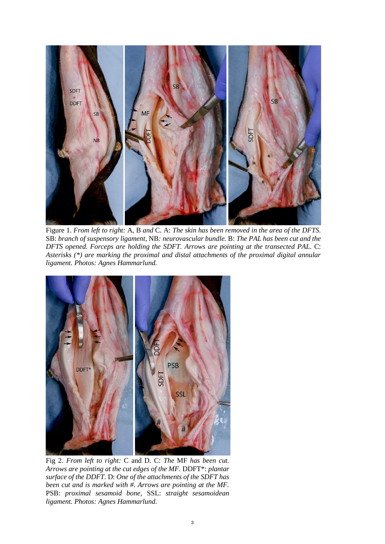

Figure 1. *From left to right:* A, B *and* C. A: *The skin has been removed in the area of the DFTS.*  SB: *branch of suspensory ligament,* NB*: neurovascular bundle.* B: *The PAL has been cut and the DFTS opened. Forceps are holding the SDFT. Arrows are pointing at the transected PAL.* C: *Asterisks (\*) are marking the proximal and distal attachments of the proximal digital annular ligament. Photos: Agnes Hammarlund.*



Fig 2. *From left to right:* C and D*.* C: *The* MF *has been cut. Arrows are pointing at the cut edges of the MF.* DDFT\*: *plantar surface of the DDFT.* D: *One of the attachments of the SDFT has been cut and is marked with #. Arrows are pointing at the MF.*  PSB: *proximal sesamoid bone*, SSL: *straight sesamoidean ligament. Photos: Agnes Hammarlund.*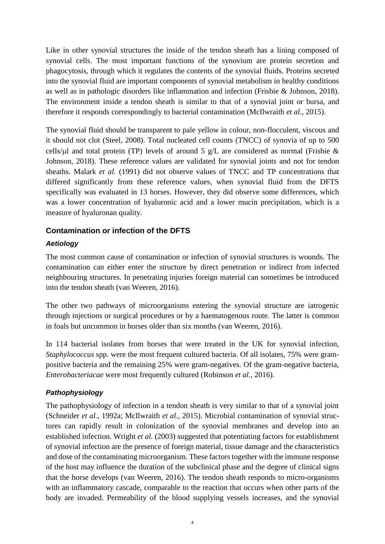Like in other synovial structures the inside of the tendon sheath has a lining composed of synovial cells. The most important functions of the synovium are protein secretion and phagocytosis, through which it regulates the contents of the synovial fluids. Proteins secreted into the synovial fluid are important components of synovial metabolism in healthy conditions as well as in pathologic disorders like inflammation and infection (Frisbie & Johnson, 2018). The environment inside a tendon sheath is similar to that of a synovial joint or bursa, and therefore it responds correspondingly to bacterial contamination (McIlwraith *et al.,* 2015).

The synovial fluid should be transparent to pale yellow in colour, non-flocculent, viscous and it should not clot (Steel, 2008). Total nucleated cell counts (TNCC) of synovia of up to 500 cells/ $\mu$ l and total protein (TP) levels of around 5 g/L are considered as normal (Frisbie & Johnson, 2018). These reference values are validated for synovial joints and not for tendon sheaths. Malark *et al.* (1991) did not observe values of TNCC and TP concentrations that differed significantly from these reference values, when synovial fluid from the DFTS specifically was evaluated in 13 horses. However, they did observe some differences, which was a lower concentration of hyaluronic acid and a lower mucin precipitation, which is a measure of hyaluronan quality.

# <span id="page-11-0"></span>**Contamination or infection of the DFTS**

# <span id="page-11-1"></span>*Aetiology*

The most common cause of contamination or infection of synovial structures is wounds. The contamination can either enter the structure by direct penetration or indirect from infected neighbouring structures. In penetrating injuries foreign material can sometimes be introduced into the tendon sheath (van Weeren, 2016).

The other two pathways of microorganisms entering the synovial structure are iatrogenic through injections or surgical procedures or by a haematogenous route. The latter is common in foals but uncommon in horses older than six months (van Weeren, 2016).

In 114 bacterial isolates from horses that were treated in the UK for synovial infection, *Staphylococcus* spp. were the most frequent cultured bacteria. Of all isolates, 75% were grampositive bacteria and the remaining 25% were gram-negatives. Of the gram-negative bacteria, *Enterobacteriacae* were most frequently cultured (Robinson *et al.,* 2016).

#### <span id="page-11-2"></span>*Pathophysiology*

The pathophysiology of infection in a tendon sheath is very similar to that of a synovial joint (Schneider *et al.,* 1992a; McIlwraith *et al.,* 2015). Microbial contamination of synovial structures can rapidly result in colonization of the synovial membranes and develop into an established infection. Wright *et al.* (2003) suggested that potentiating factors for establishment of synovial infection are the presence of foreign material, tissue damage and the characteristics and dose of the contaminating microorganism. These factors together with the immune response of the host may influence the duration of the subclinical phase and the degree of clinical signs that the horse develops (van Weeren, 2016). The tendon sheath responds to micro-organisms with an inflammatory cascade, comparable to the reaction that occurs when other parts of the body are invaded. Permeability of the blood supplying vessels increases, and the synovial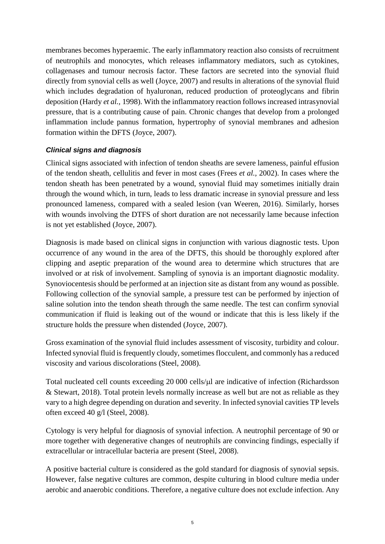membranes becomes hyperaemic. The early inflammatory reaction also consists of recruitment of neutrophils and monocytes, which releases inflammatory mediators, such as cytokines, collagenases and tumour necrosis factor. These factors are secreted into the synovial fluid directly from synovial cells as well (Joyce, 2007) and results in alterations of the synovial fluid which includes degradation of hyaluronan, reduced production of proteoglycans and fibrin deposition (Hardy *et al.,* 1998). With the inflammatory reaction follows increased intrasynovial pressure, that is a contributing cause of pain. Chronic changes that develop from a prolonged inflammation include pannus formation, hypertrophy of synovial membranes and adhesion formation within the DFTS (Joyce, 2007).

#### <span id="page-12-0"></span>*Clinical signs and diagnosis*

Clinical signs associated with infection of tendon sheaths are severe lameness, painful effusion of the tendon sheath, cellulitis and fever in most cases (Frees *et al.,* 2002). In cases where the tendon sheath has been penetrated by a wound, synovial fluid may sometimes initially drain through the wound which, in turn, leads to less dramatic increase in synovial pressure and less pronounced lameness, compared with a sealed lesion (van Weeren, 2016). Similarly, horses with wounds involving the DTFS of short duration are not necessarily lame because infection is not yet established (Joyce, 2007).

Diagnosis is made based on clinical signs in conjunction with various diagnostic tests. Upon occurrence of any wound in the area of the DFTS, this should be thoroughly explored after clipping and aseptic preparation of the wound area to determine which structures that are involved or at risk of involvement. Sampling of synovia is an important diagnostic modality. Synoviocentesis should be performed at an injection site as distant from any wound as possible. Following collection of the synovial sample, a pressure test can be performed by injection of saline solution into the tendon sheath through the same needle. The test can confirm synovial communication if fluid is leaking out of the wound or indicate that this is less likely if the structure holds the pressure when distended (Joyce, 2007).

Gross examination of the synovial fluid includes assessment of viscosity, turbidity and colour. Infected synovial fluid is frequently cloudy, sometimes flocculent, and commonly has a reduced viscosity and various discolorations (Steel, 2008).

Total nucleated cell counts exceeding 20 000 cells/ $\mu$ l are indicative of infection (Richardsson & Stewart, 2018). Total protein levels normally increase as well but are not as reliable as they vary to a high degree depending on duration and severity. In infected synovial cavities TP levels often exceed 40 g/l (Steel, 2008).

Cytology is very helpful for diagnosis of synovial infection. A neutrophil percentage of 90 or more together with degenerative changes of neutrophils are convincing findings, especially if extracellular or intracellular bacteria are present (Steel, 2008).

A positive bacterial culture is considered as the gold standard for diagnosis of synovial sepsis. However, false negative cultures are common, despite culturing in blood culture media under aerobic and anaerobic conditions. Therefore, a negative culture does not exclude infection. Any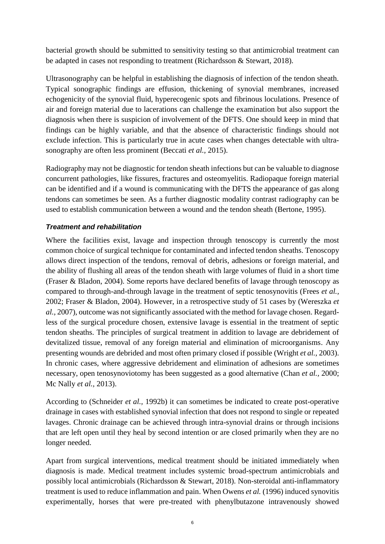bacterial growth should be submitted to sensitivity testing so that antimicrobial treatment can be adapted in cases not responding to treatment (Richardsson & Stewart, 2018).

Ultrasonography can be helpful in establishing the diagnosis of infection of the tendon sheath. Typical sonographic findings are effusion, thickening of synovial membranes, increased echogenicity of the synovial fluid, hyperecogenic spots and fibrinous loculations. Presence of air and foreign material due to lacerations can challenge the examination but also support the diagnosis when there is suspicion of involvement of the DFTS. One should keep in mind that findings can be highly variable, and that the absence of characteristic findings should not exclude infection. This is particularly true in acute cases when changes detectable with ultrasonography are often less prominent (Beccati *et al.,* 2015).

Radiography may not be diagnostic for tendon sheath infections but can be valuable to diagnose concurrent pathologies, like fissures, fractures and osteomyelitis. Radiopaque foreign material can be identified and if a wound is communicating with the DFTS the appearance of gas along tendons can sometimes be seen. As a further diagnostic modality contrast radiography can be used to establish communication between a wound and the tendon sheath (Bertone, 1995).

### <span id="page-13-0"></span>*Treatment and rehabilitation*

Where the facilities exist, lavage and inspection through tenoscopy is currently the most common choice of surgical technique for contaminated and infected tendon sheaths. Tenoscopy allows direct inspection of the tendons, removal of debris, adhesions or foreign material, and the ability of flushing all areas of the tendon sheath with large volumes of fluid in a short time (Fraser & Bladon, 2004). Some reports have declared benefits of lavage through tenoscopy as compared to through-and-through lavage in the treatment of septic tenosynovitis (Frees *et al.,* 2002; Fraser & Bladon, 2004). However, in a retrospective study of 51 cases by (Wereszka *et al.,* 2007), outcome was not significantly associated with the method for lavage chosen. Regardless of the surgical procedure chosen, extensive lavage is essential in the treatment of septic tendon sheaths. The principles of surgical treatment in addition to lavage are debridement of devitalized tissue, removal of any foreign material and elimination of microorganisms. Any presenting wounds are debrided and most often primary closed if possible (Wright *et al.,* 2003). In chronic cases, where aggressive debridement and elimination of adhesions are sometimes necessary, open tenosynoviotomy has been suggested as a good alternative (Chan *et al.,* 2000; Mc Nally *et al.,* 2013).

According to (Schneider *et al.,* 1992b) it can sometimes be indicated to create post-operative drainage in cases with established synovial infection that does not respond to single or repeated lavages. Chronic drainage can be achieved through intra-synovial drains or through incisions that are left open until they heal by second intention or are closed primarily when they are no longer needed.

Apart from surgical interventions, medical treatment should be initiated immediately when diagnosis is made. Medical treatment includes systemic broad-spectrum antimicrobials and possibly local antimicrobials (Richardsson & Stewart, 2018). Non-steroidal anti-inflammatory treatment is used to reduce inflammation and pain. When Owens *et al.* (1996) induced synovitis experimentally, horses that were pre-treated with phenylbutazone intravenously showed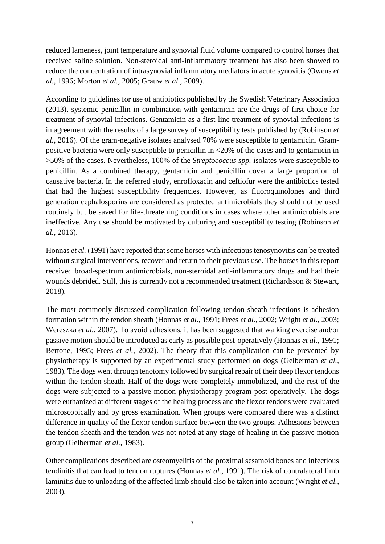reduced lameness, joint temperature and synovial fluid volume compared to control horses that received saline solution. Non-steroidal anti-inflammatory treatment has also been showed to reduce the concentration of intrasynovial inflammatory mediators in acute synovitis (Owens *et al.,* 1996; Morton *et al.,* 2005; Grauw *et al.,* 2009).

According to guidelines for use of antibiotics published by the Swedish Veterinary Association (2013), systemic penicillin in combination with gentamicin are the drugs of first choice for treatment of synovial infections. Gentamicin as a first-line treatment of synovial infections is in agreement with the results of a large survey of susceptibility tests published by (Robinson *et al.,* 2016). Of the gram-negative isolates analysed 70% were susceptible to gentamicin. Grampositive bacteria were only susceptible to penicillin in <20% of the cases and to gentamicin in >50% of the cases. Nevertheless, 100% of the *Streptococcus spp.* isolates were susceptible to penicillin. As a combined therapy, gentamicin and penicillin cover a large proportion of causative bacteria. In the referred study, enrofloxacin and ceftiofur were the antibiotics tested that had the highest susceptibility frequencies. However, as fluoroquinolones and third generation cephalosporins are considered as protected antimicrobials they should not be used routinely but be saved for life-threatening conditions in cases where other antimicrobials are ineffective. Any use should be motivated by culturing and susceptibility testing (Robinson *et al.,* 2016).

Honnas *et al.* (1991) have reported that some horses with infectious tenosynovitis can be treated without surgical interventions, recover and return to their previous use. The horses in this report received broad-spectrum antimicrobials, non-steroidal anti-inflammatory drugs and had their wounds debrided. Still, this is currently not a recommended treatment (Richardsson & Stewart, 2018).

The most commonly discussed complication following tendon sheath infections is adhesion formation within the tendon sheath (Honnas *et al.,* 1991; Frees *et al.,* 2002; Wright *et al.,* 2003; Wereszka *et al.,* 2007). To avoid adhesions, it has been suggested that walking exercise and/or passive motion should be introduced as early as possible post-operatively (Honnas *et al.,* 1991; Bertone, 1995; Frees *et al.,* 2002). The theory that this complication can be prevented by physiotherapy is supported by an experimental study performed on dogs (Gelberman *et al.,* 1983). The dogs went through tenotomy followed by surgical repair of their deep flexor tendons within the tendon sheath. Half of the dogs were completely immobilized, and the rest of the dogs were subjected to a passive motion physiotherapy program post-operatively. The dogs were euthanized at different stages of the healing process and the flexor tendons were evaluated microscopically and by gross examination. When groups were compared there was a distinct difference in quality of the flexor tendon surface between the two groups. Adhesions between the tendon sheath and the tendon was not noted at any stage of healing in the passive motion group (Gelberman *et al.,* 1983).

Other complications described are osteomyelitis of the proximal sesamoid bones and infectious tendinitis that can lead to tendon ruptures (Honnas *et al.,* 1991). The risk of contralateral limb laminitis due to unloading of the affected limb should also be taken into account (Wright *et al.,* 2003).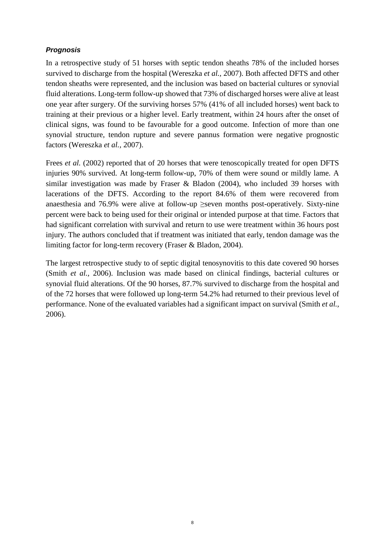# <span id="page-15-0"></span>*Prognosis*

In a retrospective study of 51 horses with septic tendon sheaths 78% of the included horses survived to discharge from the hospital (Wereszka *et al.,* 2007). Both affected DFTS and other tendon sheaths were represented, and the inclusion was based on bacterial cultures or synovial fluid alterations. Long-term follow-up showed that 73% of discharged horses were alive at least one year after surgery. Of the surviving horses 57% (41% of all included horses) went back to training at their previous or a higher level. Early treatment, within 24 hours after the onset of clinical signs, was found to be favourable for a good outcome. Infection of more than one synovial structure, tendon rupture and severe pannus formation were negative prognostic factors (Wereszka *et al.,* 2007).

Frees *et al.* (2002) reported that of 20 horses that were tenoscopically treated for open DFTS injuries 90% survived. At long-term follow-up, 70% of them were sound or mildly lame. A similar investigation was made by Fraser & Bladon (2004), who included 39 horses with lacerations of the DFTS. According to the report 84.6% of them were recovered from anaesthesia and 76.9% were alive at follow-up  $\geq$ seven months post-operatively. Sixty-nine percent were back to being used for their original or intended purpose at that time. Factors that had significant correlation with survival and return to use were treatment within 36 hours post injury. The authors concluded that if treatment was initiated that early, tendon damage was the limiting factor for long-term recovery (Fraser & Bladon, 2004).

The largest retrospective study to of septic digital tenosynovitis to this date covered 90 horses (Smith *et al.,* 2006). Inclusion was made based on clinical findings, bacterial cultures or synovial fluid alterations. Of the 90 horses, 87.7% survived to discharge from the hospital and of the 72 horses that were followed up long-term 54.2% had returned to their previous level of performance. None of the evaluated variables had a significant impact on survival (Smith *et al.,* 2006).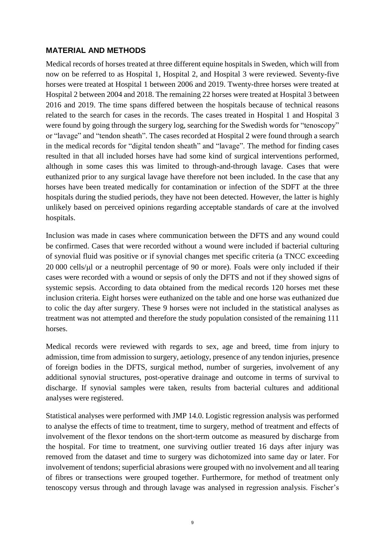#### **MATERIAL AND METHODS**

Medical records of horses treated at three different equine hospitals in Sweden, which will from now on be referred to as Hospital 1, Hospital 2, and Hospital 3 were reviewed. Seventy-five horses were treated at Hospital 1 between 2006 and 2019. Twenty-three horses were treated at Hospital 2 between 2004 and 2018. The remaining 22 horses were treated at Hospital 3 between 2016 and 2019. The time spans differed between the hospitals because of technical reasons related to the search for cases in the records. The cases treated in Hospital 1 and Hospital 3 were found by going through the surgery log, searching for the Swedish words for "tenoscopy" or "lavage" and "tendon sheath". The cases recorded at Hospital 2 were found through a search in the medical records for "digital tendon sheath" and "lavage". The method for finding cases resulted in that all included horses have had some kind of surgical interventions performed, although in some cases this was limited to through-and-through lavage. Cases that were euthanized prior to any surgical lavage have therefore not been included. In the case that any horses have been treated medically for contamination or infection of the SDFT at the three hospitals during the studied periods, they have not been detected. However, the latter is highly unlikely based on perceived opinions regarding acceptable standards of care at the involved hospitals.

Inclusion was made in cases where communication between the DFTS and any wound could be confirmed. Cases that were recorded without a wound were included if bacterial culturing of synovial fluid was positive or if synovial changes met specific criteria (a TNCC exceeding  $20 000$  cells/ $\mu$ l or a neutrophil percentage of 90 or more). Foals were only included if their cases were recorded with a wound or sepsis of only the DFTS and not if they showed signs of systemic sepsis. According to data obtained from the medical records 120 horses met these inclusion criteria. Eight horses were euthanized on the table and one horse was euthanized due to colic the day after surgery. These 9 horses were not included in the statistical analyses as treatment was not attempted and therefore the study population consisted of the remaining 111 horses.

Medical records were reviewed with regards to sex, age and breed, time from injury to admission, time from admission to surgery, aetiology, presence of any tendon injuries, presence of foreign bodies in the DFTS, surgical method, number of surgeries, involvement of any additional synovial structures, post-operative drainage and outcome in terms of survival to discharge. If synovial samples were taken, results from bacterial cultures and additional analyses were registered.

Statistical analyses were performed with JMP 14.0. Logistic regression analysis was performed to analyse the effects of time to treatment, time to surgery, method of treatment and effects of involvement of the flexor tendons on the short-term outcome as measured by discharge from the hospital. For time to treatment, one surviving outlier treated 16 days after injury was removed from the dataset and time to surgery was dichotomized into same day or later. For involvement of tendons; superficial abrasions were grouped with no involvement and all tearing of fibres or transections were grouped together. Furthermore, for method of treatment only tenoscopy versus through and through lavage was analysed in regression analysis. Fischer's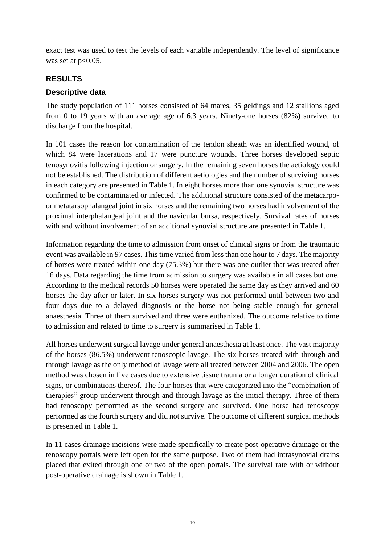exact test was used to test the levels of each variable independently. The level of significance was set at  $p<0.05$ .

# <span id="page-17-0"></span>**RESULTS**

# <span id="page-17-1"></span>**Descriptive data**

The study population of 111 horses consisted of 64 mares, 35 geldings and 12 stallions aged from 0 to 19 years with an average age of 6.3 years. Ninety-one horses (82%) survived to discharge from the hospital.

In 101 cases the reason for contamination of the tendon sheath was an identified wound, of which 84 were lacerations and 17 were puncture wounds. Three horses developed septic tenosynovitis following injection or surgery. In the remaining seven horses the aetiology could not be established. The distribution of different aetiologies and the number of surviving horses in each category are presented in Table 1. In eight horses more than one synovial structure was confirmed to be contaminated or infected. The additional structure consisted of the metacarpoor metatarsophalangeal joint in six horses and the remaining two horses had involvement of the proximal interphalangeal joint and the navicular bursa, respectively. Survival rates of horses with and without involvement of an additional synovial structure are presented in Table 1.

Information regarding the time to admission from onset of clinical signs or from the traumatic event was available in 97 cases. This time varied from less than one hour to 7 days. The majority of horses were treated within one day (75.3%) but there was one outlier that was treated after 16 days. Data regarding the time from admission to surgery was available in all cases but one. According to the medical records 50 horses were operated the same day as they arrived and 60 horses the day after or later. In six horses surgery was not performed until between two and four days due to a delayed diagnosis or the horse not being stable enough for general anaesthesia. Three of them survived and three were euthanized. The outcome relative to time to admission and related to time to surgery is summarised in Table 1.

All horses underwent surgical lavage under general anaesthesia at least once. The vast majority of the horses (86.5%) underwent tenoscopic lavage. The six horses treated with through and through lavage as the only method of lavage were all treated between 2004 and 2006. The open method was chosen in five cases due to extensive tissue trauma or a longer duration of clinical signs, or combinations thereof. The four horses that were categorized into the "combination of therapies" group underwent through and through lavage as the initial therapy. Three of them had tenoscopy performed as the second surgery and survived. One horse had tenoscopy performed as the fourth surgery and did not survive. The outcome of different surgical methods is presented in Table 1.

In 11 cases drainage incisions were made specifically to create post-operative drainage or the tenoscopy portals were left open for the same purpose. Two of them had intrasynovial drains placed that exited through one or two of the open portals. The survival rate with or without post-operative drainage is shown in Table 1.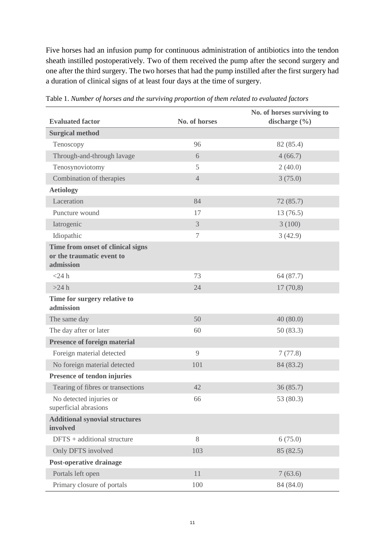Five horses had an infusion pump for continuous administration of antibiotics into the tendon sheath instilled postoperatively. Two of them received the pump after the second surgery and one after the third surgery. The two horses that had the pump instilled after the first surgery had a duration of clinical signs of at least four days at the time of surgery.

| <b>Evaluated factor</b>                                                     | No. of horses  | No. of horses surviving to<br>discharge $(\% )$ |
|-----------------------------------------------------------------------------|----------------|-------------------------------------------------|
| <b>Surgical method</b>                                                      |                |                                                 |
| Tenoscopy                                                                   | 96             | 82 (85.4)                                       |
| Through-and-through lavage                                                  | 6              | 4(66.7)                                         |
| Tenosynoviotomy                                                             | 5              | 2(40.0)                                         |
| Combination of therapies                                                    | $\overline{4}$ | 3(75.0)                                         |
| <b>Aetiology</b>                                                            |                |                                                 |
| Laceration                                                                  | 84             | 72(85.7)                                        |
| Puncture wound                                                              | 17             | 13(76.5)                                        |
| Iatrogenic                                                                  | 3              | 3(100)                                          |
| Idiopathic                                                                  | 7              | 3(42.9)                                         |
| Time from onset of clinical signs<br>or the traumatic event to<br>admission |                |                                                 |
| $<$ 24 h                                                                    | 73             | 64 (87.7)                                       |
| $>24$ h                                                                     | 24             | 17(70,8)                                        |
| Time for surgery relative to<br>admission                                   |                |                                                 |
| The same day                                                                | 50             | 40(80.0)                                        |
| The day after or later                                                      | 60             | 50(83.3)                                        |
| <b>Presence of foreign material</b>                                         |                |                                                 |
| Foreign material detected                                                   | 9              | 7(77.8)                                         |
| No foreign material detected                                                | 101            | 84 (83.2)                                       |
| Presence of tendon injuries                                                 |                |                                                 |
| Tearing of fibres or transections                                           | 42             | 36(85.7)                                        |
| No detected injuries or<br>superficial abrasions                            | 66             | 53 (80.3)                                       |
| <b>Additional synovial structures</b><br>involved                           |                |                                                 |
| DFTS + additional structure                                                 | 8              | 6(75.0)                                         |
| Only DFTS involved                                                          | 103            | 85 (82.5)                                       |
| <b>Post-operative drainage</b>                                              |                |                                                 |
| Portals left open                                                           | 11             | 7(63.6)                                         |
| Primary closure of portals                                                  | 100            | 84 (84.0)                                       |

Table 1. *Number of horses and the surviving proportion of them related to evaluated factors*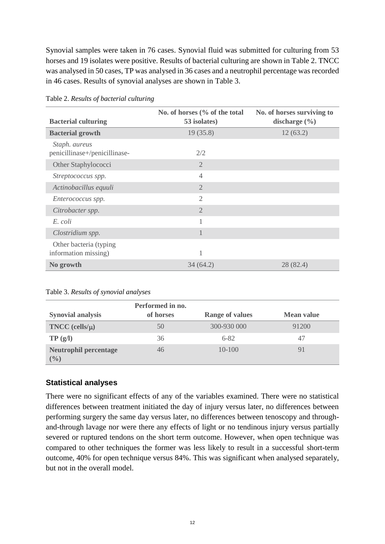Synovial samples were taken in 76 cases. Synovial fluid was submitted for culturing from 53 horses and 19 isolates were positive. Results of bacterial culturing are shown in Table 2. TNCC was analysed in 50 cases, TP was analysed in 36 cases and a neutrophil percentage was recorded in 46 cases. Results of synovial analyses are shown in Table 3.

| <b>Bacterial culturing</b>                      | No. of horses $\frac{6}{6}$ of the total<br>53 isolates) | No. of horses surviving to<br>discharge $(\% )$ |  |
|-------------------------------------------------|----------------------------------------------------------|-------------------------------------------------|--|
| <b>Bacterial growth</b>                         | 19(35.8)                                                 | 12(63.2)                                        |  |
| Staph. aureus<br>penicillinase+/penicillinase-  | 2/2                                                      |                                                 |  |
| Other Staphylococci                             | $\overline{2}$                                           |                                                 |  |
| Streptococcus spp.                              | $\overline{4}$                                           |                                                 |  |
| Actinobacillus equuli                           | $\overline{2}$                                           |                                                 |  |
| Enterococcus spp.                               | $\mathfrak{D}$                                           |                                                 |  |
| Citrobacter spp.                                | $\overline{2}$                                           |                                                 |  |
| E. coli                                         | 1                                                        |                                                 |  |
| Clostridium spp.                                | 1                                                        |                                                 |  |
| Other bacteria (typing)<br>information missing) | 1                                                        |                                                 |  |
| No growth                                       | 34 (64.2)                                                | 28 (82.4)                                       |  |

Table 2. *Results of bacterial culturing*

|                                       | Performed in no. |                        |                   |
|---------------------------------------|------------------|------------------------|-------------------|
| <b>Synovial analysis</b>              | of horses        | <b>Range of values</b> | <b>Mean value</b> |
| $TNCC$ (cells/ $\mu$ )                | 50               | 300-930 000            | 91200             |
| TP(g/l)                               | 36               | $6 - 82$               | 47                |
| <b>Neutrophil percentage</b><br>(9/0) | 46               | $10 - 100$             |                   |

# <span id="page-19-0"></span>**Statistical analyses**

There were no significant effects of any of the variables examined. There were no statistical differences between treatment initiated the day of injury versus later, no differences between performing surgery the same day versus later, no differences between tenoscopy and throughand-through lavage nor were there any effects of light or no tendinous injury versus partially severed or ruptured tendons on the short term outcome. However, when open technique was compared to other techniques the former was less likely to result in a successful short-term outcome, 40% for open technique versus 84%. This was significant when analysed separately, but not in the overall model.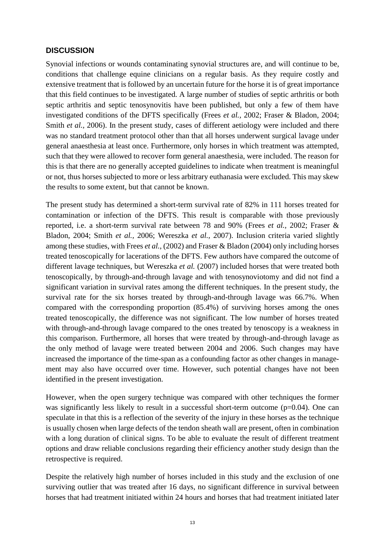#### <span id="page-20-0"></span>**DISCUSSION**

Synovial infections or wounds contaminating synovial structures are, and will continue to be, conditions that challenge equine clinicians on a regular basis. As they require costly and extensive treatment that is followed by an uncertain future for the horse it is of great importance that this field continues to be investigated. A large number of studies of septic arthritis or both septic arthritis and septic tenosynovitis have been published, but only a few of them have investigated conditions of the DFTS specifically (Frees *et al.,* 2002; Fraser & Bladon, 2004; Smith *et al.*, 2006). In the present study, cases of different aetiology were included and there was no standard treatment protocol other than that all horses underwent surgical lavage under general anaesthesia at least once. Furthermore, only horses in which treatment was attempted, such that they were allowed to recover form general anaesthesia, were included. The reason for this is that there are no generally accepted guidelines to indicate when treatment is meaningful or not, thus horses subjected to more or less arbitrary euthanasia were excluded. This may skew the results to some extent, but that cannot be known.

The present study has determined a short-term survival rate of 82% in 111 horses treated for contamination or infection of the DFTS. This result is comparable with those previously reported, i.e. a short-term survival rate between 78 and 90% (Frees *et al.,* 2002; Fraser & Bladon, 2004; Smith *et al.,* 2006; Wereszka *et al.,* 2007). Inclusion criteria varied slightly among these studies, with Frees *et al.,* (2002) and Fraser & Bladon (2004) only including horses treated tenoscopically for lacerations of the DFTS. Few authors have compared the outcome of different lavage techniques, but Wereszka *et al.* (2007) included horses that were treated both tenoscopically, by through-and-through lavage and with tenosynoviotomy and did not find a significant variation in survival rates among the different techniques. In the present study, the survival rate for the six horses treated by through-and-through lavage was 66.7%. When compared with the corresponding proportion (85.4%) of surviving horses among the ones treated tenoscopically, the difference was not significant. The low number of horses treated with through-and-through lavage compared to the ones treated by tenoscopy is a weakness in this comparison. Furthermore, all horses that were treated by through-and-through lavage as the only method of lavage were treated between 2004 and 2006. Such changes may have increased the importance of the time-span as a confounding factor as other changes in management may also have occurred over time. However, such potential changes have not been identified in the present investigation.

However, when the open surgery technique was compared with other techniques the former was significantly less likely to result in a successful short-term outcome  $(p=0.04)$ . One can speculate in that this is a reflection of the severity of the injury in these horses as the technique is usually chosen when large defects of the tendon sheath wall are present, often in combination with a long duration of clinical signs. To be able to evaluate the result of different treatment options and draw reliable conclusions regarding their efficiency another study design than the retrospective is required.

Despite the relatively high number of horses included in this study and the exclusion of one surviving outlier that was treated after 16 days, no significant difference in survival between horses that had treatment initiated within 24 hours and horses that had treatment initiated later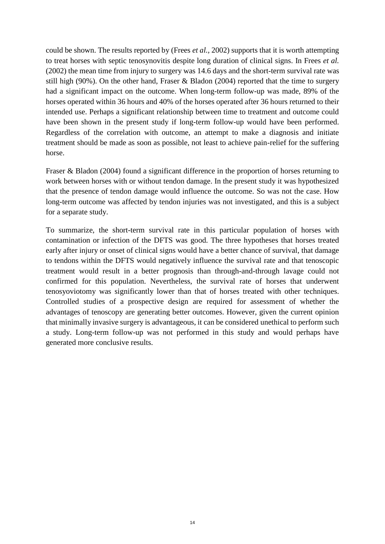could be shown. The results reported by (Frees *et al.,* 2002) supports that it is worth attempting to treat horses with septic tenosynovitis despite long duration of clinical signs. In Frees *et al.* (2002) the mean time from injury to surgery was 14.6 days and the short-term survival rate was still high (90%). On the other hand, Fraser & Bladon (2004) reported that the time to surgery had a significant impact on the outcome. When long-term follow-up was made, 89% of the horses operated within 36 hours and 40% of the horses operated after 36 hours returned to their intended use. Perhaps a significant relationship between time to treatment and outcome could have been shown in the present study if long-term follow-up would have been performed. Regardless of the correlation with outcome, an attempt to make a diagnosis and initiate treatment should be made as soon as possible, not least to achieve pain-relief for the suffering horse.

Fraser & Bladon (2004) found a significant difference in the proportion of horses returning to work between horses with or without tendon damage. In the present study it was hypothesized that the presence of tendon damage would influence the outcome. So was not the case. How long-term outcome was affected by tendon injuries was not investigated, and this is a subject for a separate study.

To summarize, the short-term survival rate in this particular population of horses with contamination or infection of the DFTS was good. The three hypotheses that horses treated early after injury or onset of clinical signs would have a better chance of survival, that damage to tendons within the DFTS would negatively influence the survival rate and that tenoscopic treatment would result in a better prognosis than through-and-through lavage could not confirmed for this population. Nevertheless, the survival rate of horses that underwent tenosyoviotomy was significantly lower than that of horses treated with other techniques. Controlled studies of a prospective design are required for assessment of whether the advantages of tenoscopy are generating better outcomes. However, given the current opinion that minimally invasive surgery is advantageous, it can be considered unethical to perform such a study. Long-term follow-up was not performed in this study and would perhaps have generated more conclusive results.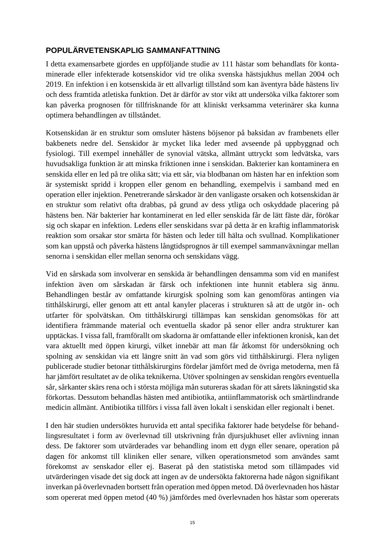# <span id="page-22-0"></span>**POPULÄRVETENSKAPLIG SAMMANFATTNING**

I detta examensarbete gjordes en uppföljande studie av 111 hästar som behandlats för kontaminerade eller infekterade kotsenskidor vid tre olika svenska hästsjukhus mellan 2004 och 2019. En infektion i en kotsenskida är ett allvarligt tillstånd som kan äventyra både hästens liv och dess framtida atletiska funktion. Det är därför av stor vikt att undersöka vilka faktorer som kan påverka prognosen för tillfrisknande för att kliniskt verksamma veterinärer ska kunna optimera behandlingen av tillståndet.

Kotsenskidan är en struktur som omsluter hästens böjsenor på baksidan av frambenets eller bakbenets nedre del. Senskidor är mycket lika leder med avseende på uppbyggnad och fysiologi. Till exempel innehåller de synovial vätska, allmänt uttryckt som ledvätska, vars huvudsakliga funktion är att minska friktionen inne i senskidan. Bakterier kan kontaminera en senskida eller en led på tre olika sätt; via ett sår, via blodbanan om hästen har en infektion som är systemiskt spridd i kroppen eller genom en behandling, exempelvis i samband med en operation eller injektion. Penetrerande sårskador är den vanligaste orsaken och kotsenskidan är en struktur som relativt ofta drabbas, på grund av dess ytliga och oskyddade placering på hästens ben. När bakterier har kontaminerat en led eller senskida får de lätt fäste där, förökar sig och skapar en infektion. Ledens eller senskidans svar på detta är en kraftig inflammatorisk reaktion som orsakar stor smärta för hästen och leder till hälta och svullnad. Komplikationer som kan uppstå och påverka hästens långtidsprognos är till exempel sammanväxningar mellan senorna i senskidan eller mellan senorna och senskidans vägg.

Vid en sårskada som involverar en senskida är behandlingen densamma som vid en manifest infektion även om sårskadan är färsk och infektionen inte hunnit etablera sig ännu. Behandlingen består av omfattande kirurgisk spolning som kan genomföras antingen via titthålskirurgi, eller genom att ett antal kanyler placeras i strukturen så att de utgör in- och utfarter för spolvätskan. Om titthålskirurgi tillämpas kan senskidan genomsökas för att identifiera främmande material och eventuella skador på senor eller andra strukturer kan upptäckas. I vissa fall, framförallt om skadorna är omfattande eller infektionen kronisk, kan det vara aktuellt med öppen kirurgi, vilket innebär att man får åtkomst för undersökning och spolning av senskidan via ett längre snitt än vad som görs vid titthålskirurgi. Flera nyligen publicerade studier betonar titthålskirurgins fördelar jämfört med de övriga metoderna, men få har jämfört resultatet av de olika teknikerna. Utöver spolningen av senskidan rengörs eventuella sår, sårkanter skärs rena och i största möjliga mån sutureras skadan för att sårets läkningstid ska förkortas. Dessutom behandlas hästen med antibiotika, antiinflammatorisk och smärtlindrande medicin allmänt. Antibiotika tillförs i vissa fall även lokalt i senskidan eller regionalt i benet.

I den här studien undersöktes huruvida ett antal specifika faktorer hade betydelse för behandlingsresultatet i form av överlevnad till utskrivning från djursjukhuset eller avlivning innan dess. De faktorer som utvärderades var behandling inom ett dygn eller senare, operation på dagen för ankomst till kliniken eller senare, vilken operationsmetod som användes samt förekomst av senskador eller ej. Baserat på den statistiska metod som tillämpades vid utvärderingen visade det sig dock att ingen av de undersökta faktorerna hade någon signifikant inverkan på överlevnaden bortsett från operation med öppen metod. Då överlevnaden hos hästar som opererat med öppen metod (40 %) jämfördes med överlevnaden hos hästar som opererats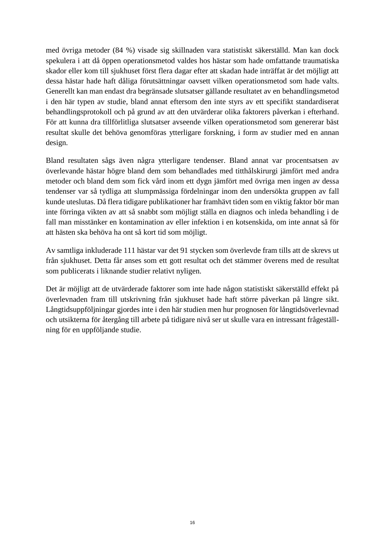med övriga metoder (84 %) visade sig skillnaden vara statistiskt säkerställd. Man kan dock spekulera i att då öppen operationsmetod valdes hos hästar som hade omfattande traumatiska skador eller kom till sjukhuset först flera dagar efter att skadan hade inträffat är det möjligt att dessa hästar hade haft dåliga förutsättningar oavsett vilken operationsmetod som hade valts. Generellt kan man endast dra begränsade slutsatser gällande resultatet av en behandlingsmetod i den här typen av studie, bland annat eftersom den inte styrs av ett specifikt standardiserat behandlingsprotokoll och på grund av att den utvärderar olika faktorers påverkan i efterhand. För att kunna dra tillförlitliga slutsatser avseende vilken operationsmetod som genererar bäst resultat skulle det behöva genomföras ytterligare forskning, i form av studier med en annan design.

Bland resultaten sågs även några ytterligare tendenser. Bland annat var procentsatsen av överlevande hästar högre bland dem som behandlades med titthålskirurgi jämfört med andra metoder och bland dem som fick vård inom ett dygn jämfört med övriga men ingen av dessa tendenser var så tydliga att slumpmässiga fördelningar inom den undersökta gruppen av fall kunde uteslutas. Då flera tidigare publikationer har framhävt tiden som en viktig faktor bör man inte förringa vikten av att så snabbt som möjligt ställa en diagnos och inleda behandling i de fall man misstänker en kontamination av eller infektion i en kotsenskida, om inte annat så för att hästen ska behöva ha ont så kort tid som möjligt.

Av samtliga inkluderade 111 hästar var det 91 stycken som överlevde fram tills att de skrevs ut från sjukhuset. Detta får anses som ett gott resultat och det stämmer överens med de resultat som publicerats i liknande studier relativt nyligen.

Det är möjligt att de utvärderade faktorer som inte hade någon statistiskt säkerställd effekt på överlevnaden fram till utskrivning från sjukhuset hade haft större påverkan på längre sikt. Långtidsuppföljningar gjordes inte i den här studien men hur prognosen för långtidsöverlevnad och utsikterna för återgång till arbete på tidigare nivå ser ut skulle vara en intressant frågeställning för en uppföljande studie.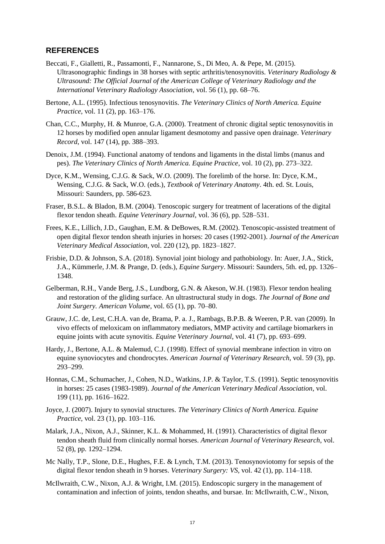#### <span id="page-24-0"></span>**REFERENCES**

- Beccati, F., Gialletti, R., Passamonti, F., Nannarone, S., Di Meo, A. & Pepe, M. (2015). Ultrasonographic findings in 38 horses with septic arthritis/tenosynovitis. *Veterinary Radiology & Ultrasound: The Official Journal of the American College of Veterinary Radiology and the International Veterinary Radiology Association*, vol. 56 (1), pp. 68–76.
- Bertone, A.L. (1995). Infectious tenosynovitis. *The Veterinary Clinics of North America. Equine Practice*, vol. 11 (2), pp. 163–176.
- Chan, C.C., Murphy, H. & Munroe, G.A. (2000). Treatment of chronic digital septic tenosynovitis in 12 horses by modified open annular ligament desmotomy and passive open drainage. *Veterinary Record*, vol. 147 (14), pp. 388–393.
- Denoix, J.M. (1994). Functional anatomy of tendons and ligaments in the distal limbs (manus and pes). *The Veterinary Clinics of North America. Equine Practice*, vol. 10 (2), pp. 273–322.
- Dyce, K.M., Wensing, C.J.G. & Sack, W.O. (2009). The forelimb of the horse. In: Dyce, K.M., Wensing, C.J.G. & Sack, W.O. (eds.), *Textbook of Veterinary Anatomy*. 4th. ed. St. Louis, Missouri: Saunders, pp. 586-623.
- Fraser, B.S.L. & Bladon, B.M. (2004). Tenoscopic surgery for treatment of lacerations of the digital flexor tendon sheath. *Equine Veterinary Journal*, vol. 36 (6), pp. 528–531.
- Frees, K.E., Lillich, J.D., Gaughan, E.M. & DeBowes, R.M. (2002). Tenoscopic-assisted treatment of open digital flexor tendon sheath injuries in horses: 20 cases (1992-2001). *Journal of the American Veterinary Medical Association*, vol. 220 (12), pp. 1823–1827.
- Frisbie, D.D. & Johnson, S.A. (2018). Synovial joint biology and pathobiology. In: Auer, J.A., Stick, J.A., Kümmerle, J.M. & Prange, D. (eds.), *Equine Surgery*. Missouri: Saunders, 5th. ed, pp. 1326– 1348.
- Gelberman, R.H., Vande Berg, J.S., Lundborg, G.N. & Akeson, W.H. (1983). Flexor tendon healing and restoration of the gliding surface. An ultrastructural study in dogs. *The Journal of Bone and Joint Surgery. American Volume*, vol. 65 (1), pp. 70–80.
- Grauw, J.C. de, Lest, C.H.A. van de, Brama, P. a. J., Rambags, B.P.B. & Weeren, P.R. van (2009). In vivo effects of meloxicam on inflammatory mediators, MMP activity and cartilage biomarkers in equine joints with acute synovitis. *Equine Veterinary Journal*, vol. 41 (7), pp. 693–699.
- Hardy, J., Bertone, A.L. & Malemud, C.J. (1998). Effect of synovial membrane infection in vitro on equine synoviocytes and chondrocytes. *American Journal of Veterinary Research*, vol. 59 (3), pp. 293–299.
- Honnas, C.M., Schumacher, J., Cohen, N.D., Watkins, J.P. & Taylor, T.S. (1991). Septic tenosynovitis in horses: 25 cases (1983-1989). *Journal of the American Veterinary Medical Association*, vol. 199 (11), pp. 1616–1622.
- Joyce, J. (2007). Injury to synovial structures. *The Veterinary Clinics of North America. Equine Practice*, vol. 23 (1), pp. 103–116.
- Malark, J.A., Nixon, A.J., Skinner, K.L. & Mohammed, H. (1991). Characteristics of digital flexor tendon sheath fluid from clinically normal horses. *American Journal of Veterinary Research*, vol. 52 (8), pp. 1292–1294.
- Mc Nally, T.P., Slone, D.E., Hughes, F.E. & Lynch, T.M. (2013). Tenosynoviotomy for sepsis of the digital flexor tendon sheath in 9 horses. *Veterinary Surgery: VS*, vol. 42 (1), pp. 114–118.
- McIlwraith, C.W., Nixon, A.J. & Wright, I.M. (2015). Endoscopic surgery in the management of contamination and infection of joints, tendon sheaths, and bursae. In: McIlwraith, C.W., Nixon,